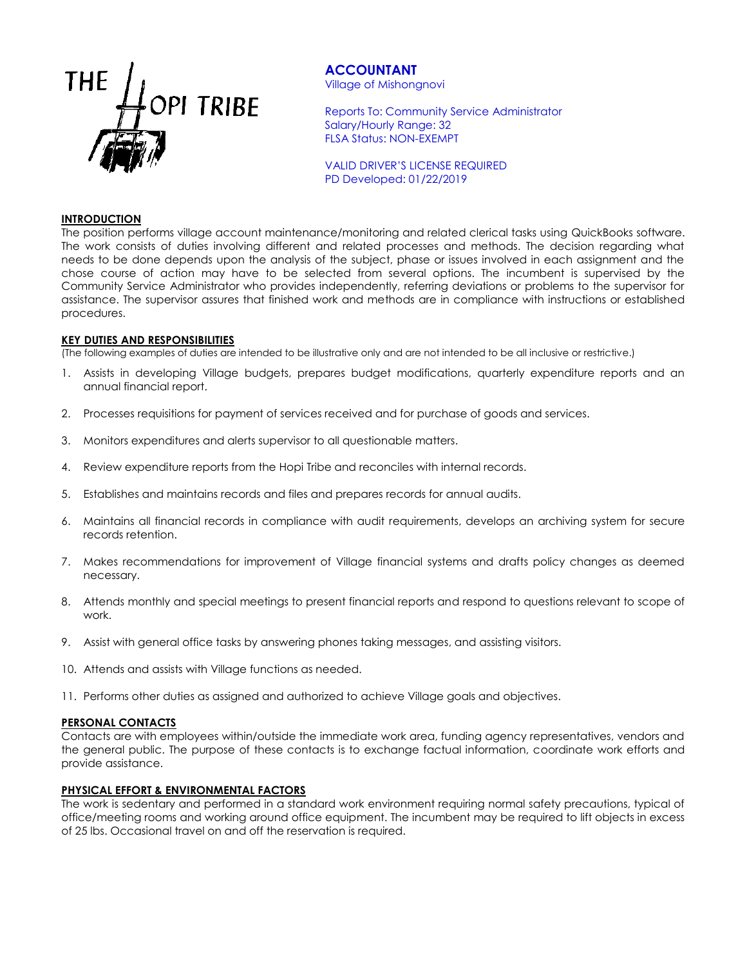

# **ACCOUNTANT**

Village of Mishongnovi

Reports To: Community Service Administrator Salary/Hourly Range: 32 FLSA Status: NON-EXEMPT

VALID DRIVER'S LICENSE REQUIRED PD Developed: 01/22/2019

### **INTRODUCTION**

The position performs village account maintenance/monitoring and related clerical tasks using QuickBooks software. The work consists of duties involving different and related processes and methods. The decision regarding what needs to be done depends upon the analysis of the subject, phase or issues involved in each assignment and the chose course of action may have to be selected from several options. The incumbent is supervised by the Community Service Administrator who provides independently, referring deviations or problems to the supervisor for assistance. The supervisor assures that finished work and methods are in compliance with instructions or established procedures.

### **KEY DUTIES AND RESPONSIBILITIES**

(The following examples of duties are intended to be illustrative only and are not intended to be all inclusive or restrictive.)

- 1. Assists in developing Village budgets, prepares budget modifications, quarterly expenditure reports and an annual financial report.
- 2. Processes requisitions for payment of services received and for purchase of goods and services.
- 3. Monitors expenditures and alerts supervisor to all questionable matters.
- 4. Review expenditure reports from the Hopi Tribe and reconciles with internal records.
- 5. Establishes and maintains records and files and prepares records for annual audits.
- 6. Maintains all financial records in compliance with audit requirements, develops an archiving system for secure records retention.
- 7. Makes recommendations for improvement of Village financial systems and drafts policy changes as deemed necessary.
- 8. Attends monthly and special meetings to present financial reports and respond to questions relevant to scope of work.
- 9. Assist with general office tasks by answering phones taking messages, and assisting visitors.
- 10. Attends and assists with Village functions as needed.
- 11. Performs other duties as assigned and authorized to achieve Village goals and objectives.

### **PERSONAL CONTACTS**

Contacts are with employees within/outside the immediate work area, funding agency representatives, vendors and the general public. The purpose of these contacts is to exchange factual information, coordinate work efforts and provide assistance.

## **PHYSICAL EFFORT & ENVIRONMENTAL FACTORS**

The work is sedentary and performed in a standard work environment requiring normal safety precautions, typical of office/meeting rooms and working around office equipment. The incumbent may be required to lift objects in excess of 25 lbs. Occasional travel on and off the reservation is required.